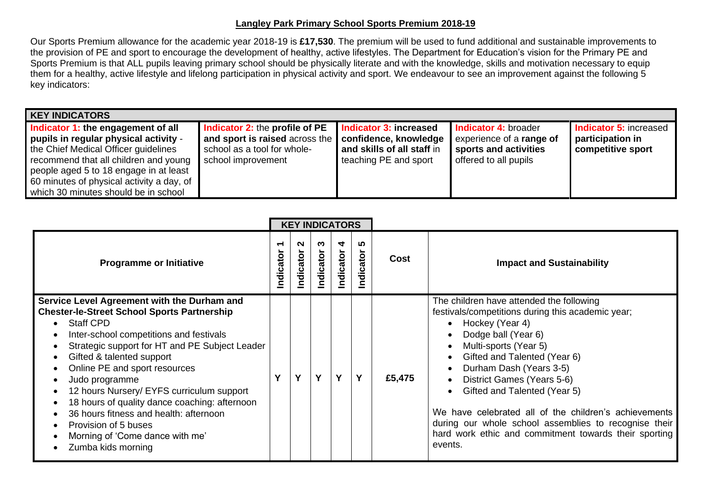## **Langley Park Primary School Sports Premium 2018-19**

Our Sports Premium allowance for the academic year 2018-19 is **£17,530**. The premium will be used to fund additional and sustainable improvements to the provision of PE and sport to encourage the development of healthy, active lifestyles. The Department for Education's vision for the Primary PE and Sports Premium is that ALL pupils leaving primary school should be physically literate and with the knowledge, skills and motivation necessary to equip them for a healthy, active lifestyle and lifelong participation in physical activity and sport. We endeavour to see an improvement against the following 5 key indicators:

| <b>KEY INDICATORS</b>                                                                                                                                                                                                                                                                       |                                                                                                                                                      |                                                                               |                                                                                                    |                                                                        |
|---------------------------------------------------------------------------------------------------------------------------------------------------------------------------------------------------------------------------------------------------------------------------------------------|------------------------------------------------------------------------------------------------------------------------------------------------------|-------------------------------------------------------------------------------|----------------------------------------------------------------------------------------------------|------------------------------------------------------------------------|
| Indicator 1: the engagement of all<br>pupils in regular physical activity -<br>the Chief Medical Officer guidelines<br>recommend that all children and young<br>people aged 5 to 18 engage in at least<br>60 minutes of physical activity a day, of<br>which 30 minutes should be in school | <b>Indicator 2: the profile of PE</b><br>and sport is raised across the   confidence, knowledge<br>school as a tool for whole-<br>school improvement | Indicator 3: increased<br>and skills of all staff in<br>teaching PE and sport | Indicator 4: broader<br>experience of a range of<br>sports and activities<br>offered to all pupils | <b>Indicator 5: increased</b><br>participation in<br>competitive sport |

|                                                                                                                                                                                                                                                                                                                                                                                                                                                                                                                             | <b>KEY INDICATORS</b> |                |               |                |                   |        |                                                                                                                                                                                                                                                                                                                                                                                                                                                                                 |
|-----------------------------------------------------------------------------------------------------------------------------------------------------------------------------------------------------------------------------------------------------------------------------------------------------------------------------------------------------------------------------------------------------------------------------------------------------------------------------------------------------------------------------|-----------------------|----------------|---------------|----------------|-------------------|--------|---------------------------------------------------------------------------------------------------------------------------------------------------------------------------------------------------------------------------------------------------------------------------------------------------------------------------------------------------------------------------------------------------------------------------------------------------------------------------------|
| <b>Programme or Initiative</b>                                                                                                                                                                                                                                                                                                                                                                                                                                                                                              | ator<br>hdică         | N<br>Indicator | ო<br>ndicator | 4<br>Indicator | ທ<br>dicator<br>으 | Cost   | <b>Impact and Sustainability</b>                                                                                                                                                                                                                                                                                                                                                                                                                                                |
| Service Level Agreement with the Durham and<br><b>Chester-le-Street School Sports Partnership</b><br><b>Staff CPD</b><br>Inter-school competitions and festivals<br>Strategic support for HT and PE Subject Leader<br>Gifted & talented support<br>Online PE and sport resources<br>Judo programme<br>12 hours Nursery/ EYFS curriculum support<br>18 hours of quality dance coaching: afternoon<br>36 hours fitness and health: afternoon<br>Provision of 5 buses<br>Morning of 'Come dance with me'<br>Zumba kids morning | Y                     | Y              | Y             | Y              | Y                 | £5,475 | The children have attended the following<br>festivals/competitions during this academic year;<br>Hockey (Year 4)<br>Dodge ball (Year 6)<br>Multi-sports (Year 5)<br>Gifted and Talented (Year 6)<br>Durham Dash (Years 3-5)<br>District Games (Years 5-6)<br>Gifted and Talented (Year 5)<br>We have celebrated all of the children's achievements<br>during our whole school assemblies to recognise their<br>hard work ethic and commitment towards their sporting<br>events. |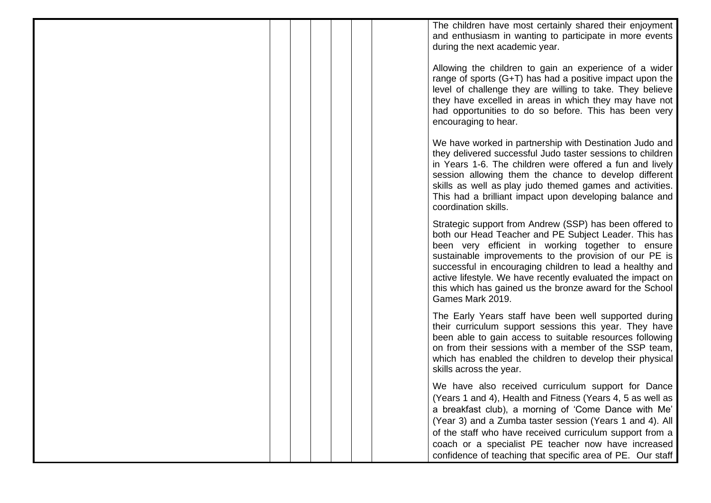The children have most certainly shared their enjoyment and enthusiasm in wanting to participate in more events during the next academic year.

Allowing the children to gain an experience of a wider range of sports (G+T) has had a positive impact upon the level of challenge they are willing to take. They believe they have excelled in areas in which they may have not had opportunities to do so before. This has been very encouraging to hear.

We have worked in partnership with Destination Judo and they delivered successful Judo taster sessions to children in Years 1-6. The children were offered a fun and lively session allowing them the chance to develop different skills as well as play judo themed games and activities. This had a brilliant impact upon developing balance and coordination skills.

Strategic support from Andrew (SSP) has been offered to both our Head Teacher and PE Subject Leader. This has been very efficient in working together to ensure sustainable improvements to the provision of our PE is successful in encouraging children to lead a healthy and active lifestyle. We have recently evaluated the impact on this which has gained us the bronze award for the School Games Mark 2019.

The Early Years staff have been well supported during their curriculum support sessions this year. They have been able to gain access to suitable resources following on from their sessions with a member of the SSP team, which has enabled the children to develop their physical skills across the year.

We have also received curriculum support for Dance (Years 1 and 4), Health and Fitness (Years 4, 5 as well as a breakfast club), a morning of 'Come Dance with Me' (Year 3) and a Zumba taster session (Years 1 and 4). All of the staff who have received curriculum support from a coach or a specialist PE teacher now have increased confidence of teaching that specific area of PE. Our staff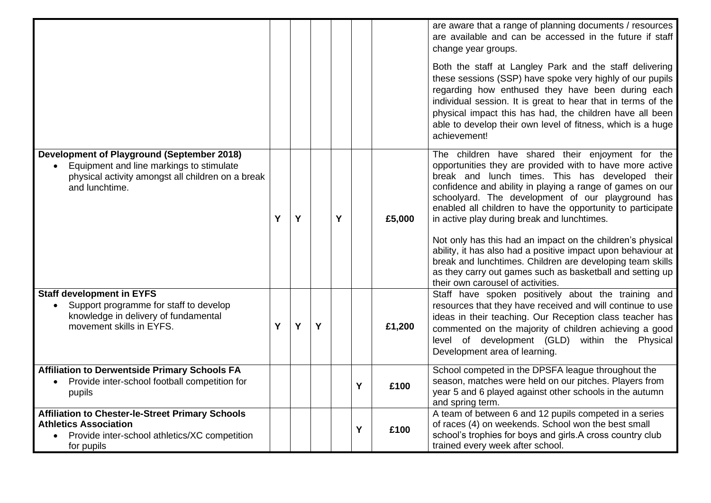|                                                                                                                                                                        |   |   |   |   |   |        | are aware that a range of planning documents / resources<br>are available and can be accessed in the future if staff<br>change year groups.                                                                                                                                                                                                                                                                                                                                                                                                                                                                                                             |
|------------------------------------------------------------------------------------------------------------------------------------------------------------------------|---|---|---|---|---|--------|---------------------------------------------------------------------------------------------------------------------------------------------------------------------------------------------------------------------------------------------------------------------------------------------------------------------------------------------------------------------------------------------------------------------------------------------------------------------------------------------------------------------------------------------------------------------------------------------------------------------------------------------------------|
|                                                                                                                                                                        |   |   |   |   |   |        | Both the staff at Langley Park and the staff delivering<br>these sessions (SSP) have spoke very highly of our pupils<br>regarding how enthused they have been during each<br>individual session. It is great to hear that in terms of the<br>physical impact this has had, the children have all been<br>able to develop their own level of fitness, which is a huge<br>achievement!                                                                                                                                                                                                                                                                    |
| <b>Development of Playground (September 2018)</b><br>• Equipment and line markings to stimulate<br>physical activity amongst all children on a break<br>and lunchtime. | Y | Υ |   | Y |   | £5,000 | The children have shared their enjoyment for the<br>opportunities they are provided with to have more active<br>break and lunch times. This has developed their<br>confidence and ability in playing a range of games on our<br>schoolyard. The development of our playground has<br>enabled all children to have the opportunity to participate<br>in active play during break and lunchtimes.<br>Not only has this had an impact on the children's physical<br>ability, it has also had a positive impact upon behaviour at<br>break and lunchtimes. Children are developing team skills<br>as they carry out games such as basketball and setting up |
| <b>Staff development in EYFS</b><br>Support programme for staff to develop<br>$\bullet$<br>knowledge in delivery of fundamental<br>movement skills in EYFS.            | Y | Y | Y |   |   | £1,200 | their own carousel of activities.<br>Staff have spoken positively about the training and<br>resources that they have received and will continue to use<br>ideas in their teaching. Our Reception class teacher has<br>commented on the majority of children achieving a good<br>level of development (GLD) within the Physical<br>Development area of learning.                                                                                                                                                                                                                                                                                         |
| <b>Affiliation to Derwentside Primary Schools FA</b><br>Provide inter-school football competition for<br>$\bullet$<br>pupils                                           |   |   |   |   | Y | £100   | School competed in the DPSFA league throughout the<br>season, matches were held on our pitches. Players from<br>year 5 and 6 played against other schools in the autumn<br>and spring term.                                                                                                                                                                                                                                                                                                                                                                                                                                                             |
| <b>Affiliation to Chester-le-Street Primary Schools</b><br><b>Athletics Association</b><br>Provide inter-school athletics/XC competition<br>$\bullet$<br>for pupils    |   |   |   |   | Y | £100   | A team of between 6 and 12 pupils competed in a series<br>of races (4) on weekends. School won the best small<br>school's trophies for boys and girls.A cross country club<br>trained every week after school.                                                                                                                                                                                                                                                                                                                                                                                                                                          |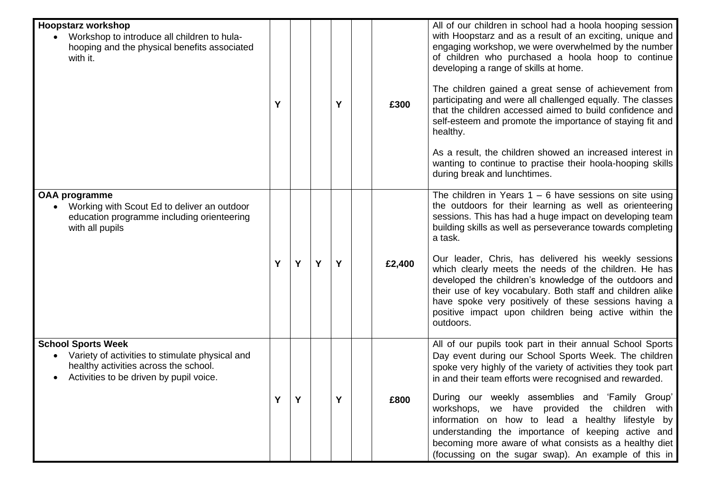| <b>Hoopstarz workshop</b><br>Workshop to introduce all children to hula-<br>hooping and the physical benefits associated<br>with it.                                          | Υ |   |   | Υ | £300   | All of our children in school had a hoola hooping session<br>with Hoopstarz and as a result of an exciting, unique and<br>engaging workshop, we were overwhelmed by the number<br>of children who purchased a hoola hoop to continue<br>developing a range of skills at home.<br>The children gained a great sense of achievement from<br>participating and were all challenged equally. The classes<br>that the children accessed aimed to build confidence and<br>self-esteem and promote the importance of staying fit and<br>healthy.<br>As a result, the children showed an increased interest in<br>wanting to continue to practise their hoola-hooping skills<br>during break and lunchtimes. |
|-------------------------------------------------------------------------------------------------------------------------------------------------------------------------------|---|---|---|---|--------|------------------------------------------------------------------------------------------------------------------------------------------------------------------------------------------------------------------------------------------------------------------------------------------------------------------------------------------------------------------------------------------------------------------------------------------------------------------------------------------------------------------------------------------------------------------------------------------------------------------------------------------------------------------------------------------------------|
| <b>OAA programme</b><br>Working with Scout Ed to deliver an outdoor<br>$\bullet$<br>education programme including orienteering<br>with all pupils                             | Y | Y | Y | Y | £2,400 | The children in Years $1 - 6$ have sessions on site using<br>the outdoors for their learning as well as orienteering<br>sessions. This has had a huge impact on developing team<br>building skills as well as perseverance towards completing<br>a task.<br>Our leader, Chris, has delivered his weekly sessions<br>which clearly meets the needs of the children. He has<br>developed the children's knowledge of the outdoors and<br>their use of key vocabulary. Both staff and children alike<br>have spoke very positively of these sessions having a<br>positive impact upon children being active within the<br>outdoors.                                                                     |
| <b>School Sports Week</b><br>Variety of activities to stimulate physical and<br>healthy activities across the school.<br>Activities to be driven by pupil voice.<br>$\bullet$ |   |   |   |   | £800   | All of our pupils took part in their annual School Sports<br>Day event during our School Sports Week. The children<br>spoke very highly of the variety of activities they took part<br>in and their team efforts were recognised and rewarded.<br>During our weekly assemblies and 'Family Group'<br>workshops, we have provided the children with<br>information on how to lead a healthy lifestyle by<br>understanding the importance of keeping active and<br>becoming more aware of what consists as a healthy diet<br>(focussing on the sugar swap). An example of this in                                                                                                                      |